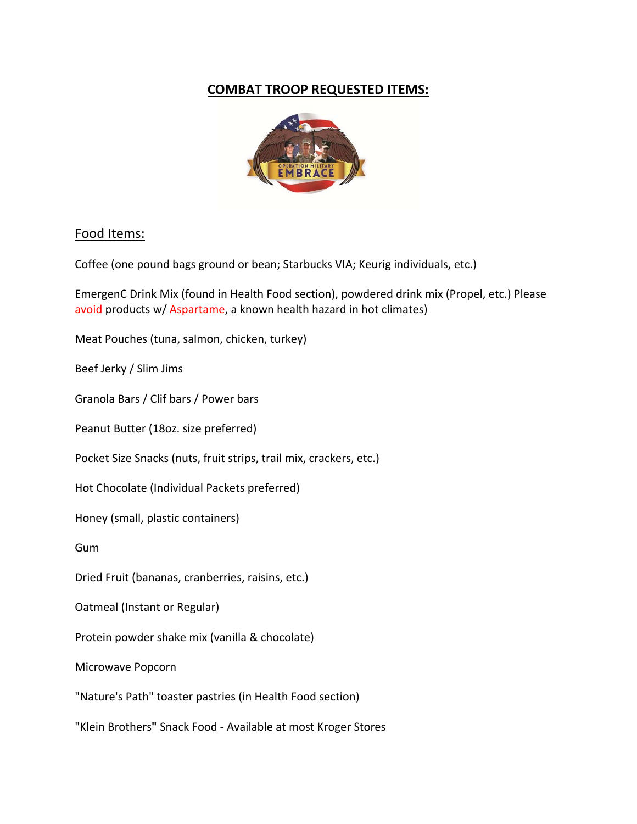## **COMBAT TROOP REQUESTED ITEMS:**



#### Food Items:

Coffee (one pound bags ground or bean; Starbucks VIA; Keurig individuals, etc.)

EmergenC Drink Mix (found in Health Food section), powdered drink mix (Propel, etc.) Please avoid products w/ Aspartame, a known health hazard in hot climates)

Meat Pouches (tuna, salmon, chicken, turkey)

Beef Jerky / Slim Jims

Granola Bars / Clif bars / Power bars

Peanut Butter (18oz. size preferred)

Pocket Size Snacks (nuts, fruit strips, trail mix, crackers, etc.)

Hot Chocolate (Individual Packets preferred)

Honey (small, plastic containers)

Gum

Dried Fruit (bananas, cranberries, raisins, etc.)

Oatmeal (Instant or Regular)

Protein powder shake mix (vanilla & chocolate)

Microwave Popcorn

"Nature's Path" toaster pastries (in Health Food section)

"Klein Brothers**"** Snack Food ‐ Available at most Kroger Stores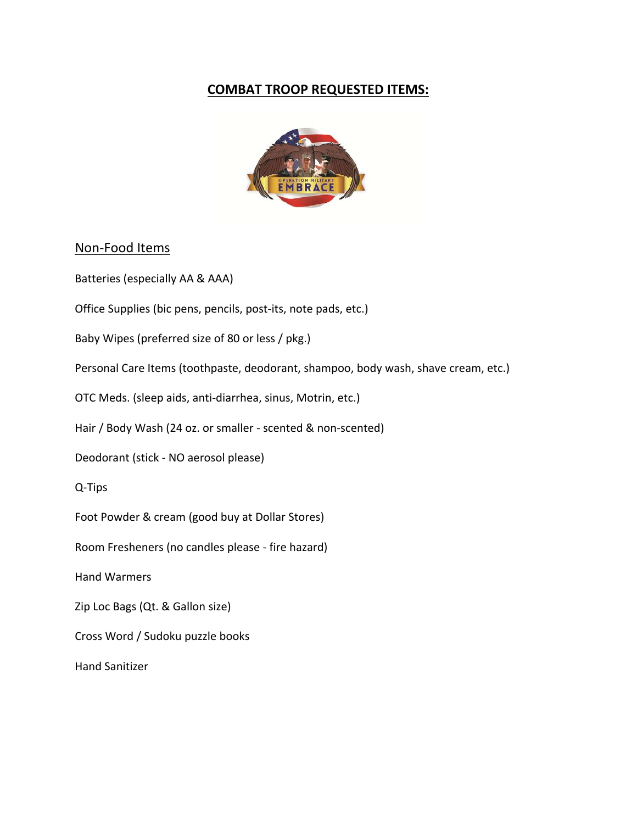# **COMBAT TROOP REQUESTED ITEMS:**



#### Non‐Food Items

Batteries (especially AA & AAA)

Office Supplies (bic pens, pencils, post‐its, note pads, etc.)

Baby Wipes (preferred size of 80 or less / pkg.)

Personal Care Items (toothpaste, deodorant, shampoo, body wash, shave cream, etc.)

OTC Meds. (sleep aids, anti‐diarrhea, sinus, Motrin, etc.)

Hair / Body Wash (24 oz. or smaller - scented & non-scented)

Deodorant (stick ‐ NO aerosol please)

Q‐Tips

Foot Powder & cream (good buy at Dollar Stores)

Room Fresheners (no candles please ‐ fire hazard)

Hand Warmers

Zip Loc Bags (Qt. & Gallon size)

Cross Word / Sudoku puzzle books

Hand Sanitizer